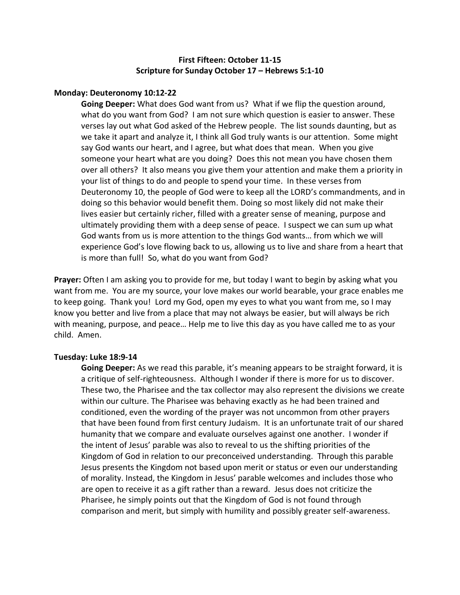# **First Fifteen: October 11-15 Scripture for Sunday October 17 – Hebrews 5:1-10**

#### **Monday: Deuteronomy 10:12-22**

**Going Deeper:** What does God want from us? What if we flip the question around, what do you want from God? I am not sure which question is easier to answer. These verses lay out what God asked of the Hebrew people. The list sounds daunting, but as we take it apart and analyze it, I think all God truly wants is our attention. Some might say God wants our heart, and I agree, but what does that mean. When you give someone your heart what are you doing? Does this not mean you have chosen them over all others? It also means you give them your attention and make them a priority in your list of things to do and people to spend your time. In these verses from Deuteronomy 10, the people of God were to keep all the LORD's commandments, and in doing so this behavior would benefit them. Doing so most likely did not make their lives easier but certainly richer, filled with a greater sense of meaning, purpose and ultimately providing them with a deep sense of peace. I suspect we can sum up what God wants from us is more attention to the things God wants… from which we will experience God's love flowing back to us, allowing us to live and share from a heart that is more than full! So, what do you want from God?

**Prayer:** Often I am asking you to provide for me, but today I want to begin by asking what you want from me. You are my source, your love makes our world bearable, your grace enables me to keep going. Thank you! Lord my God, open my eyes to what you want from me, so I may know you better and live from a place that may not always be easier, but will always be rich with meaning, purpose, and peace… Help me to live this day as you have called me to as your child. Amen.

## **Tuesday: Luke 18:9-14**

**Going Deeper:** As we read this parable, it's meaning appears to be straight forward, it is a critique of self-righteousness. Although I wonder if there is more for us to discover. These two, the Pharisee and the tax collector may also represent the divisions we create within our culture. The Pharisee was behaving exactly as he had been trained and conditioned, even the wording of the prayer was not uncommon from other prayers that have been found from first century Judaism. It is an unfortunate trait of our shared humanity that we compare and evaluate ourselves against one another. I wonder if the intent of Jesus' parable was also to reveal to us the shifting priorities of the Kingdom of God in relation to our preconceived understanding. Through this parable Jesus presents the Kingdom not based upon merit or status or even our understanding of morality. Instead, the Kingdom in Jesus' parable welcomes and includes those who are open to receive it as a gift rather than a reward. Jesus does not criticize the Pharisee, he simply points out that the Kingdom of God is not found through comparison and merit, but simply with humility and possibly greater self-awareness.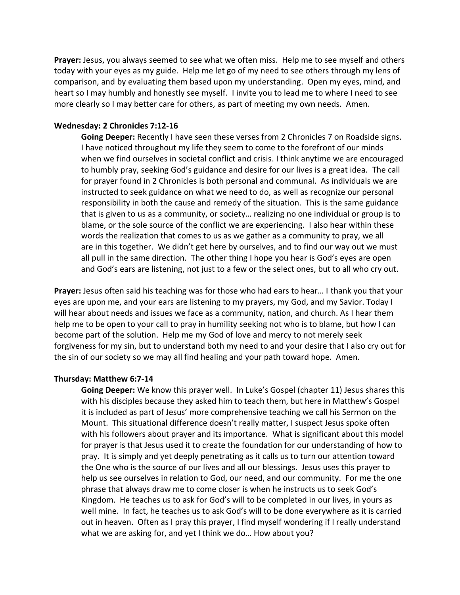**Prayer:** Jesus, you always seemed to see what we often miss. Help me to see myself and others today with your eyes as my guide. Help me let go of my need to see others through my lens of comparison, and by evaluating them based upon my understanding. Open my eyes, mind, and heart so I may humbly and honestly see myself. I invite you to lead me to where I need to see more clearly so I may better care for others, as part of meeting my own needs. Amen.

### **Wednesday: 2 Chronicles 7:12-16**

**Going Deeper:** Recently I have seen these verses from 2 Chronicles 7 on Roadside signs. I have noticed throughout my life they seem to come to the forefront of our minds when we find ourselves in societal conflict and crisis. I think anytime we are encouraged to humbly pray, seeking God's guidance and desire for our lives is a great idea. The call for prayer found in 2 Chronicles is both personal and communal. As individuals we are instructed to seek guidance on what we need to do, as well as recognize our personal responsibility in both the cause and remedy of the situation. This is the same guidance that is given to us as a community, or society… realizing no one individual or group is to blame, or the sole source of the conflict we are experiencing. I also hear within these words the realization that comes to us as we gather as a community to pray, we all are in this together. We didn't get here by ourselves, and to find our way out we must all pull in the same direction. The other thing I hope you hear is God's eyes are open and God's ears are listening, not just to a few or the select ones, but to all who cry out.

**Prayer:** Jesus often said his teaching was for those who had ears to hear… I thank you that your eyes are upon me, and your ears are listening to my prayers, my God, and my Savior. Today I will hear about needs and issues we face as a community, nation, and church. As I hear them help me to be open to your call to pray in humility seeking not who is to blame, but how I can become part of the solution. Help me my God of love and mercy to not merely seek forgiveness for my sin, but to understand both my need to and your desire that I also cry out for the sin of our society so we may all find healing and your path toward hope. Amen.

#### **Thursday: Matthew 6:7-14**

**Going Deeper:** We know this prayer well. In Luke's Gospel (chapter 11) Jesus shares this with his disciples because they asked him to teach them, but here in Matthew's Gospel it is included as part of Jesus' more comprehensive teaching we call his Sermon on the Mount. This situational difference doesn't really matter, I suspect Jesus spoke often with his followers about prayer and its importance. What is significant about this model for prayer is that Jesus used it to create the foundation for our understanding of how to pray. It is simply and yet deeply penetrating as it calls us to turn our attention toward the One who is the source of our lives and all our blessings. Jesus uses this prayer to help us see ourselves in relation to God, our need, and our community. For me the one phrase that always draw me to come closer is when he instructs us to seek God's Kingdom. He teaches us to ask for God's will to be completed in our lives, in yours as well mine. In fact, he teaches us to ask God's will to be done everywhere as it is carried out in heaven. Often as I pray this prayer, I find myself wondering if I really understand what we are asking for, and yet I think we do… How about you?